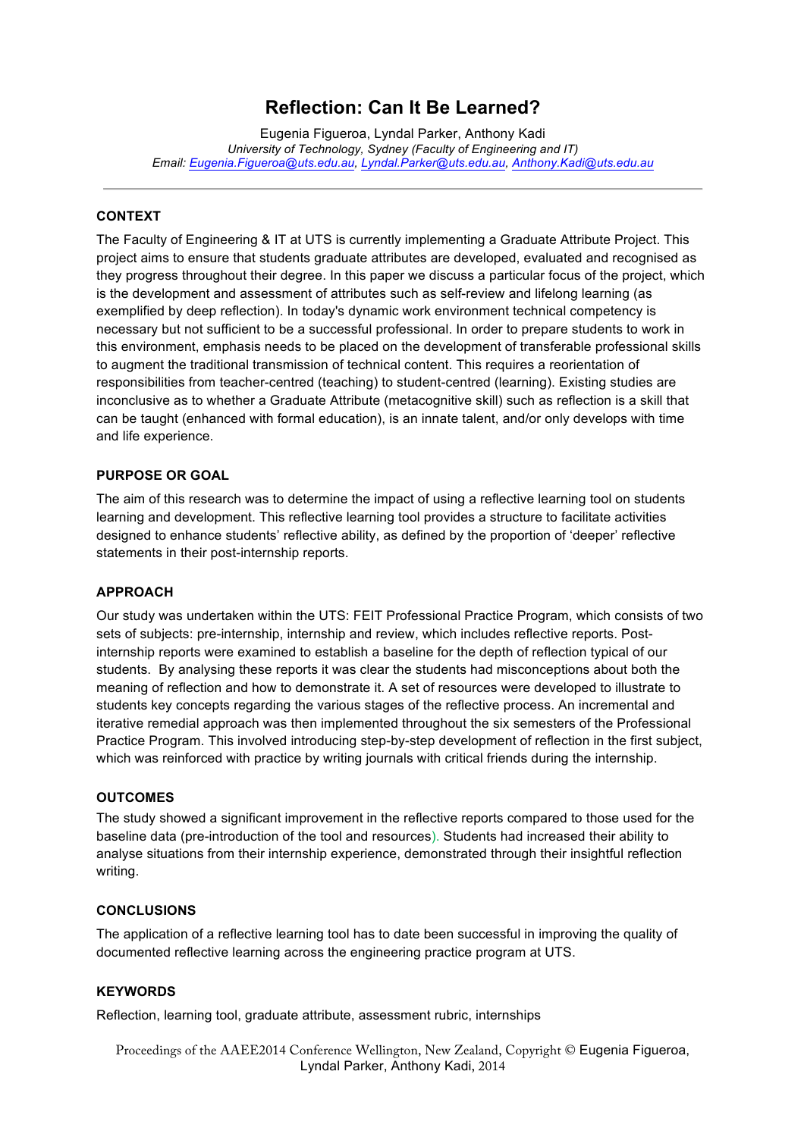### **Reflection: Can It Be Learned?**

Eugenia Figueroa, Lyndal Parker, Anthony Kadi *University of Technology, Sydney (Faculty of Engineering and IT) Email: Eugenia.Figueroa@uts.edu.au, Lyndal.Parker@uts.edu.au, Anthony.Kadi@uts.edu.au*

#### **CONTEXT**

The Faculty of Engineering & IT at UTS is currently implementing a Graduate Attribute Project. This project aims to ensure that students graduate attributes are developed, evaluated and recognised as they progress throughout their degree. In this paper we discuss a particular focus of the project, which is the development and assessment of attributes such as self-review and lifelong learning (as exemplified by deep reflection). In today's dynamic work environment technical competency is necessary but not sufficient to be a successful professional. In order to prepare students to work in this environment, emphasis needs to be placed on the development of transferable professional skills to augment the traditional transmission of technical content. This requires a reorientation of responsibilities from teacher-centred (teaching) to student-centred (learning). Existing studies are inconclusive as to whether a Graduate Attribute (metacognitive skill) such as reflection is a skill that can be taught (enhanced with formal education), is an innate talent, and/or only develops with time and life experience.

#### **PURPOSE OR GOAL**

The aim of this research was to determine the impact of using a reflective learning tool on students learning and development. This reflective learning tool provides a structure to facilitate activities designed to enhance students' reflective ability, as defined by the proportion of 'deeper' reflective statements in their post-internship reports.

#### **APPROACH**

Our study was undertaken within the UTS: FEIT Professional Practice Program, which consists of two sets of subjects: pre-internship, internship and review, which includes reflective reports. Postinternship reports were examined to establish a baseline for the depth of reflection typical of our students. By analysing these reports it was clear the students had misconceptions about both the meaning of reflection and how to demonstrate it. A set of resources were developed to illustrate to students key concepts regarding the various stages of the reflective process. An incremental and iterative remedial approach was then implemented throughout the six semesters of the Professional Practice Program. This involved introducing step-by-step development of reflection in the first subject, which was reinforced with practice by writing journals with critical friends during the internship.

#### **OUTCOMES**

The study showed a significant improvement in the reflective reports compared to those used for the baseline data (pre-introduction of the tool and resources). Students had increased their ability to analyse situations from their internship experience, demonstrated through their insightful reflection writing.

#### **CONCLUSIONS**

The application of a reflective learning tool has to date been successful in improving the quality of documented reflective learning across the engineering practice program at UTS.

#### **KEYWORDS**

Reflection, learning tool, graduate attribute, assessment rubric, internships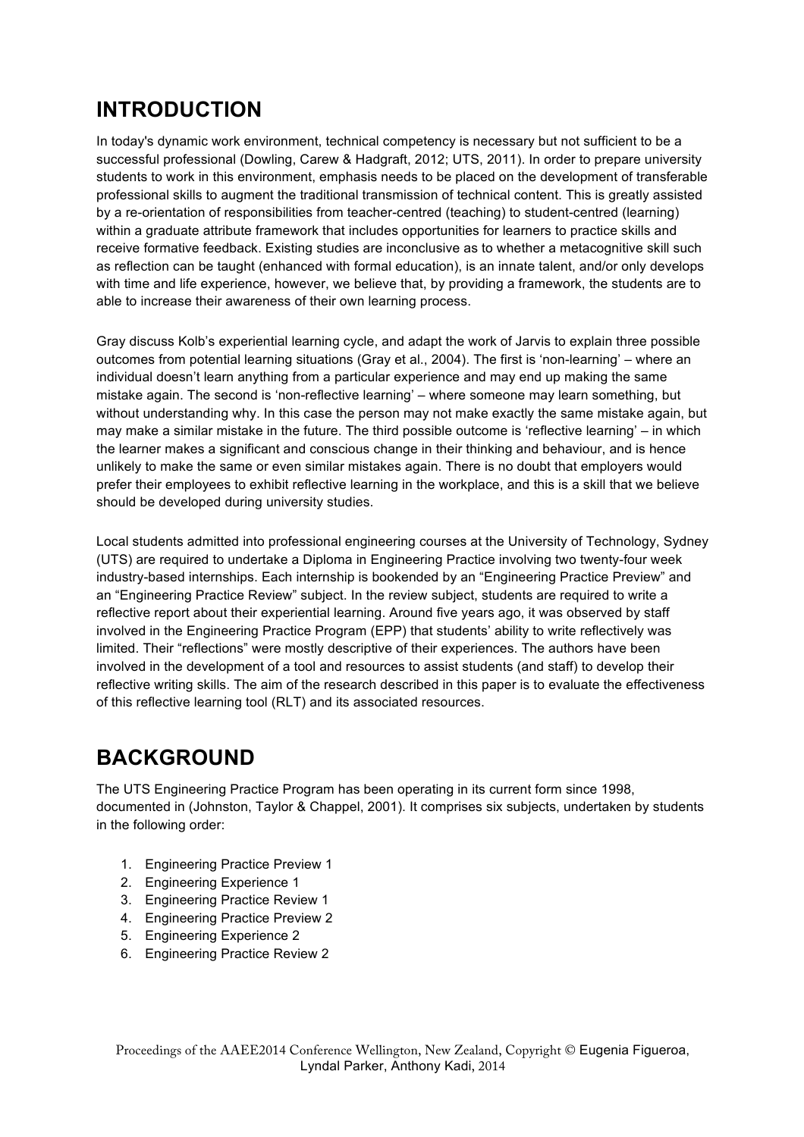### **INTRODUCTION**

In today's dynamic work environment, technical competency is necessary but not sufficient to be a successful professional (Dowling, Carew & Hadgraft, 2012; UTS, 2011). In order to prepare university students to work in this environment, emphasis needs to be placed on the development of transferable professional skills to augment the traditional transmission of technical content. This is greatly assisted by a re-orientation of responsibilities from teacher-centred (teaching) to student-centred (learning) within a graduate attribute framework that includes opportunities for learners to practice skills and receive formative feedback. Existing studies are inconclusive as to whether a metacognitive skill such as reflection can be taught (enhanced with formal education), is an innate talent, and/or only develops with time and life experience, however, we believe that, by providing a framework, the students are to able to increase their awareness of their own learning process.

Gray discuss Kolb's experiential learning cycle, and adapt the work of Jarvis to explain three possible outcomes from potential learning situations (Gray et al., 2004). The first is 'non-learning' – where an individual doesn't learn anything from a particular experience and may end up making the same mistake again. The second is 'non-reflective learning' – where someone may learn something, but without understanding why. In this case the person may not make exactly the same mistake again, but may make a similar mistake in the future. The third possible outcome is 'reflective learning' – in which the learner makes a significant and conscious change in their thinking and behaviour, and is hence unlikely to make the same or even similar mistakes again. There is no doubt that employers would prefer their employees to exhibit reflective learning in the workplace, and this is a skill that we believe should be developed during university studies.

Local students admitted into professional engineering courses at the University of Technology, Sydney (UTS) are required to undertake a Diploma in Engineering Practice involving two twenty-four week industry-based internships. Each internship is bookended by an "Engineering Practice Preview" and an "Engineering Practice Review" subject. In the review subject, students are required to write a reflective report about their experiential learning. Around five years ago, it was observed by staff involved in the Engineering Practice Program (EPP) that students' ability to write reflectively was limited. Their "reflections" were mostly descriptive of their experiences. The authors have been involved in the development of a tool and resources to assist students (and staff) to develop their reflective writing skills. The aim of the research described in this paper is to evaluate the effectiveness of this reflective learning tool (RLT) and its associated resources.

### **BACKGROUND**

The UTS Engineering Practice Program has been operating in its current form since 1998, documented in (Johnston, Taylor & Chappel, 2001). It comprises six subjects, undertaken by students in the following order:

- 1. Engineering Practice Preview 1
- 2. Engineering Experience 1
- 3. Engineering Practice Review 1
- 4. Engineering Practice Preview 2
- 5. Engineering Experience 2
- 6. Engineering Practice Review 2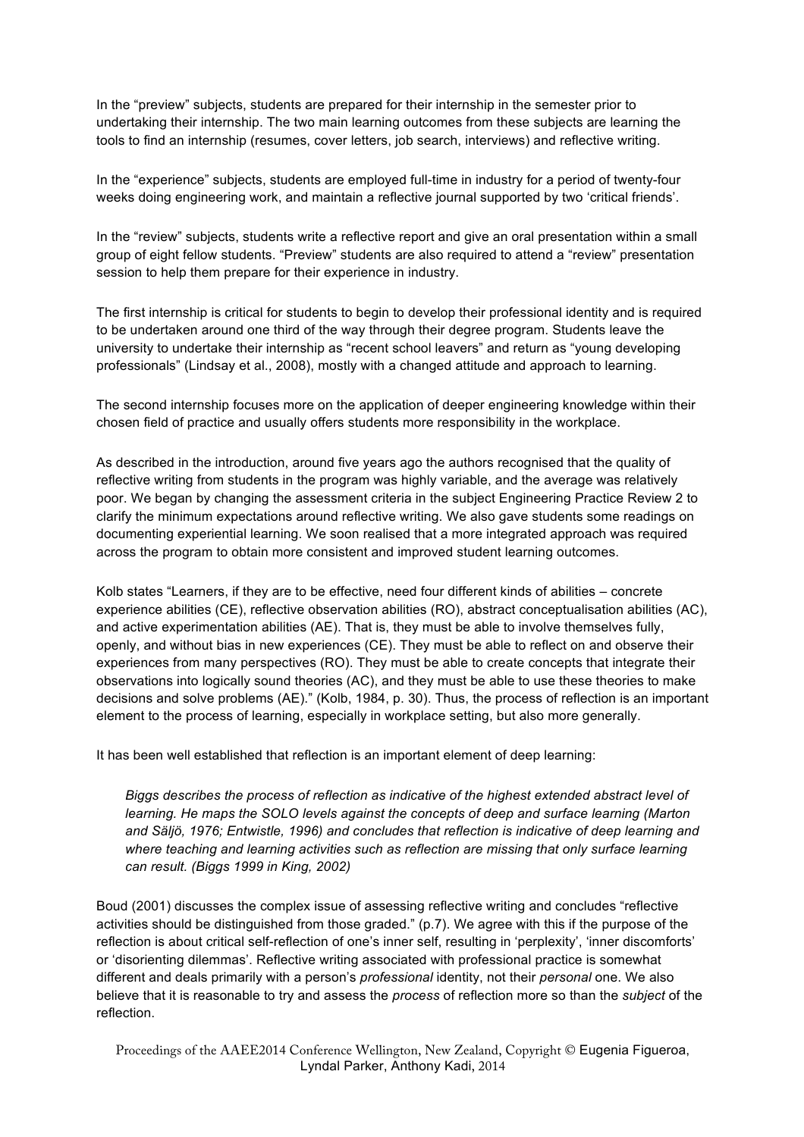In the "preview" subjects, students are prepared for their internship in the semester prior to undertaking their internship. The two main learning outcomes from these subjects are learning the tools to find an internship (resumes, cover letters, job search, interviews) and reflective writing.

In the "experience" subjects, students are employed full-time in industry for a period of twenty-four weeks doing engineering work, and maintain a reflective journal supported by two 'critical friends'.

In the "review" subjects, students write a reflective report and give an oral presentation within a small group of eight fellow students. "Preview" students are also required to attend a "review" presentation session to help them prepare for their experience in industry.

The first internship is critical for students to begin to develop their professional identity and is required to be undertaken around one third of the way through their degree program. Students leave the university to undertake their internship as "recent school leavers" and return as "young developing professionals" (Lindsay et al., 2008), mostly with a changed attitude and approach to learning.

The second internship focuses more on the application of deeper engineering knowledge within their chosen field of practice and usually offers students more responsibility in the workplace.

As described in the introduction, around five years ago the authors recognised that the quality of reflective writing from students in the program was highly variable, and the average was relatively poor. We began by changing the assessment criteria in the subject Engineering Practice Review 2 to clarify the minimum expectations around reflective writing. We also gave students some readings on documenting experiential learning. We soon realised that a more integrated approach was required across the program to obtain more consistent and improved student learning outcomes.

Kolb states "Learners, if they are to be effective, need four different kinds of abilities – concrete experience abilities (CE), reflective observation abilities (RO), abstract conceptualisation abilities (AC), and active experimentation abilities (AE). That is, they must be able to involve themselves fully, openly, and without bias in new experiences (CE). They must be able to reflect on and observe their experiences from many perspectives (RO). They must be able to create concepts that integrate their observations into logically sound theories (AC), and they must be able to use these theories to make decisions and solve problems (AE)." (Kolb, 1984, p. 30). Thus, the process of reflection is an important element to the process of learning, especially in workplace setting, but also more generally.

It has been well established that reflection is an important element of deep learning:

*Biggs describes the process of reflection as indicative of the highest extended abstract level of learning. He maps the SOLO levels against the concepts of deep and surface learning (Marton and Säljö, 1976; Entwistle, 1996) and concludes that reflection is indicative of deep learning and where teaching and learning activities such as reflection are missing that only surface learning can result. (Biggs 1999 in King, 2002)*

Boud (2001) discusses the complex issue of assessing reflective writing and concludes "reflective activities should be distinguished from those graded." (p.7). We agree with this if the purpose of the reflection is about critical self-reflection of one's inner self, resulting in 'perplexity', 'inner discomforts' or 'disorienting dilemmas'. Reflective writing associated with professional practice is somewhat different and deals primarily with a person's *professional* identity, not their *personal* one. We also believe that it is reasonable to try and assess the *process* of reflection more so than the *subject* of the reflection.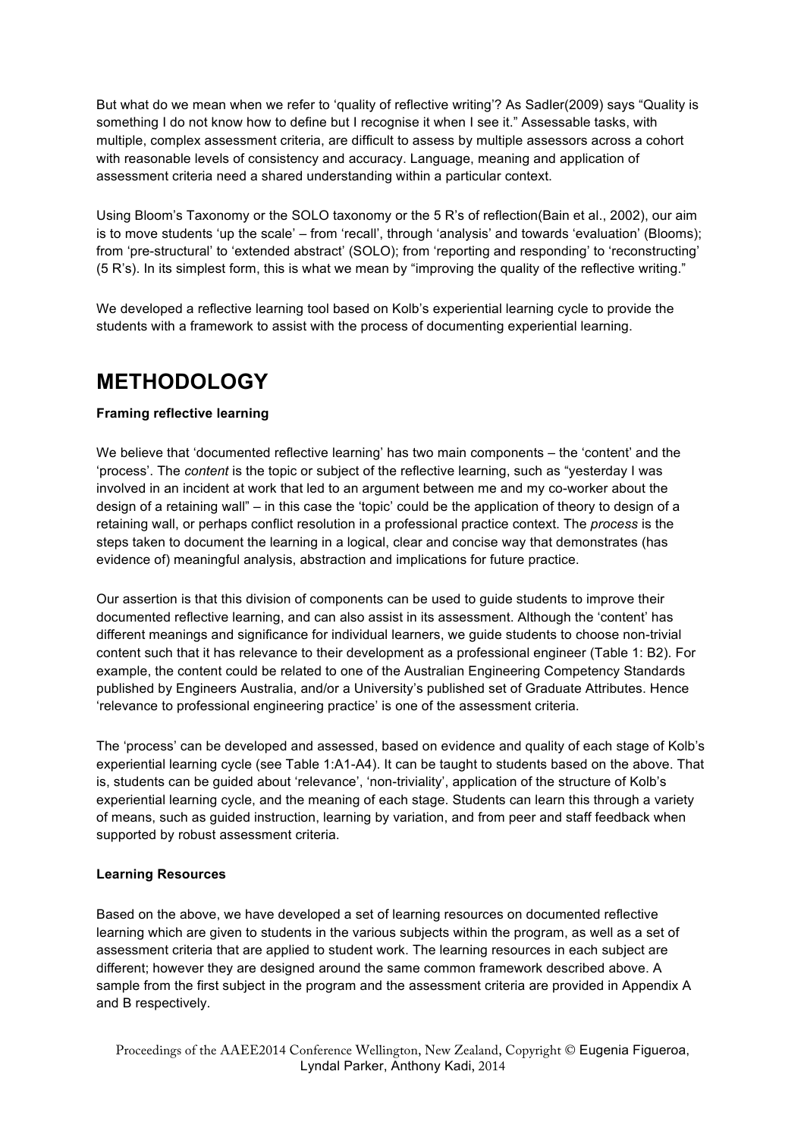But what do we mean when we refer to 'quality of reflective writing'? As Sadler(2009) says "Quality is something I do not know how to define but I recognise it when I see it." Assessable tasks, with multiple, complex assessment criteria, are difficult to assess by multiple assessors across a cohort with reasonable levels of consistency and accuracy. Language, meaning and application of assessment criteria need a shared understanding within a particular context.

Using Bloom's Taxonomy or the SOLO taxonomy or the 5 R's of reflection(Bain et al., 2002), our aim is to move students 'up the scale' – from 'recall', through 'analysis' and towards 'evaluation' (Blooms); from 'pre-structural' to 'extended abstract' (SOLO); from 'reporting and responding' to 'reconstructing' (5 R's). In its simplest form, this is what we mean by "improving the quality of the reflective writing."

We developed a reflective learning tool based on Kolb's experiential learning cycle to provide the students with a framework to assist with the process of documenting experiential learning.

### **METHODOLOGY**

#### **Framing reflective learning**

We believe that 'documented reflective learning' has two main components – the 'content' and the 'process'. The *content* is the topic or subject of the reflective learning, such as "yesterday I was involved in an incident at work that led to an argument between me and my co-worker about the design of a retaining wall" – in this case the 'topic' could be the application of theory to design of a retaining wall, or perhaps conflict resolution in a professional practice context. The *process* is the steps taken to document the learning in a logical, clear and concise way that demonstrates (has evidence of) meaningful analysis, abstraction and implications for future practice.

Our assertion is that this division of components can be used to guide students to improve their documented reflective learning, and can also assist in its assessment. Although the 'content' has different meanings and significance for individual learners, we guide students to choose non-trivial content such that it has relevance to their development as a professional engineer (Table 1: B2). For example, the content could be related to one of the Australian Engineering Competency Standards published by Engineers Australia, and/or a University's published set of Graduate Attributes. Hence 'relevance to professional engineering practice' is one of the assessment criteria.

The 'process' can be developed and assessed, based on evidence and quality of each stage of Kolb's experiential learning cycle (see Table 1:A1-A4). It can be taught to students based on the above. That is, students can be guided about 'relevance', 'non-triviality', application of the structure of Kolb's experiential learning cycle, and the meaning of each stage. Students can learn this through a variety of means, such as guided instruction, learning by variation, and from peer and staff feedback when supported by robust assessment criteria.

#### **Learning Resources**

Based on the above, we have developed a set of learning resources on documented reflective learning which are given to students in the various subjects within the program, as well as a set of assessment criteria that are applied to student work. The learning resources in each subject are different; however they are designed around the same common framework described above. A sample from the first subject in the program and the assessment criteria are provided in Appendix A and B respectively.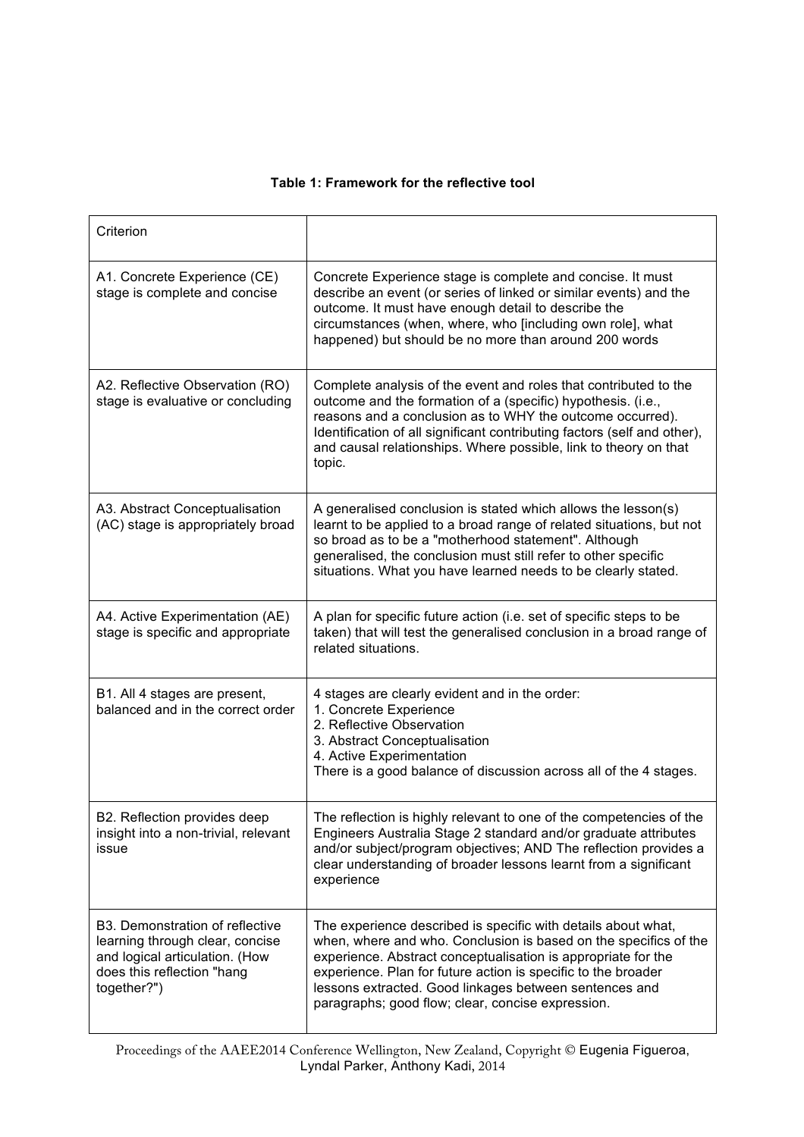#### **Table 1: Framework for the reflective tool**

| Criterion                                                                                                                                         |                                                                                                                                                                                                                                                                                                                                                                                    |
|---------------------------------------------------------------------------------------------------------------------------------------------------|------------------------------------------------------------------------------------------------------------------------------------------------------------------------------------------------------------------------------------------------------------------------------------------------------------------------------------------------------------------------------------|
| A1. Concrete Experience (CE)<br>stage is complete and concise                                                                                     | Concrete Experience stage is complete and concise. It must<br>describe an event (or series of linked or similar events) and the<br>outcome. It must have enough detail to describe the<br>circumstances (when, where, who [including own role], what<br>happened) but should be no more than around 200 words                                                                      |
| A2. Reflective Observation (RO)<br>stage is evaluative or concluding                                                                              | Complete analysis of the event and roles that contributed to the<br>outcome and the formation of a (specific) hypothesis. (i.e.,<br>reasons and a conclusion as to WHY the outcome occurred).<br>Identification of all significant contributing factors (self and other),<br>and causal relationships. Where possible, link to theory on that<br>topic.                            |
| A3. Abstract Conceptualisation<br>(AC) stage is appropriately broad                                                                               | A generalised conclusion is stated which allows the lesson(s)<br>learnt to be applied to a broad range of related situations, but not<br>so broad as to be a "motherhood statement". Although<br>generalised, the conclusion must still refer to other specific<br>situations. What you have learned needs to be clearly stated.                                                   |
| A4. Active Experimentation (AE)<br>stage is specific and appropriate                                                                              | A plan for specific future action (i.e. set of specific steps to be<br>taken) that will test the generalised conclusion in a broad range of<br>related situations.                                                                                                                                                                                                                 |
| B1. All 4 stages are present,<br>balanced and in the correct order                                                                                | 4 stages are clearly evident and in the order:<br>1. Concrete Experience<br>2. Reflective Observation<br>3. Abstract Conceptualisation<br>4. Active Experimentation<br>There is a good balance of discussion across all of the 4 stages.                                                                                                                                           |
| B2. Reflection provides deep<br>insight into a non-trivial, relevant<br>issue                                                                     | The reflection is highly relevant to one of the competencies of the<br>Engineers Australia Stage 2 standard and/or graduate attributes<br>and/or subject/program objectives; AND The reflection provides a<br>clear understanding of broader lessons learnt from a significant<br>experience                                                                                       |
| B3. Demonstration of reflective<br>learning through clear, concise<br>and logical articulation. (How<br>does this reflection "hang<br>together?") | The experience described is specific with details about what,<br>when, where and who. Conclusion is based on the specifics of the<br>experience. Abstract conceptualisation is appropriate for the<br>experience. Plan for future action is specific to the broader<br>lessons extracted. Good linkages between sentences and<br>paragraphs; good flow; clear, concise expression. |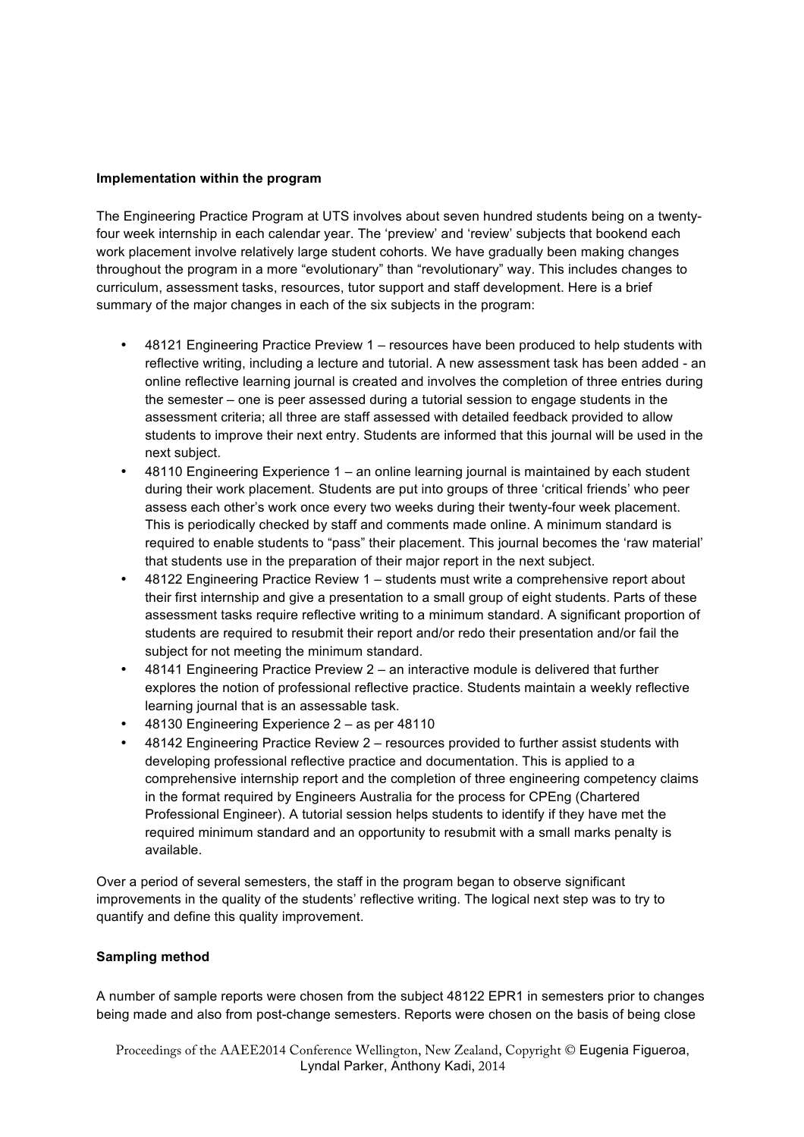#### **Implementation within the program**

The Engineering Practice Program at UTS involves about seven hundred students being on a twentyfour week internship in each calendar year. The 'preview' and 'review' subjects that bookend each work placement involve relatively large student cohorts. We have gradually been making changes throughout the program in a more "evolutionary" than "revolutionary" way. This includes changes to curriculum, assessment tasks, resources, tutor support and staff development. Here is a brief summary of the major changes in each of the six subjects in the program:

- 48121 Engineering Practice Preview 1 resources have been produced to help students with reflective writing, including a lecture and tutorial. A new assessment task has been added - an online reflective learning journal is created and involves the completion of three entries during the semester – one is peer assessed during a tutorial session to engage students in the assessment criteria; all three are staff assessed with detailed feedback provided to allow students to improve their next entry. Students are informed that this journal will be used in the next subject.
- 48110 Engineering Experience 1 an online learning journal is maintained by each student during their work placement. Students are put into groups of three 'critical friends' who peer assess each other's work once every two weeks during their twenty-four week placement. This is periodically checked by staff and comments made online. A minimum standard is required to enable students to "pass" their placement. This journal becomes the 'raw material' that students use in the preparation of their major report in the next subject.
- 48122 Engineering Practice Review 1 students must write a comprehensive report about their first internship and give a presentation to a small group of eight students. Parts of these assessment tasks require reflective writing to a minimum standard. A significant proportion of students are required to resubmit their report and/or redo their presentation and/or fail the subject for not meeting the minimum standard.
- 48141 Engineering Practice Preview 2 an interactive module is delivered that further explores the notion of professional reflective practice. Students maintain a weekly reflective learning journal that is an assessable task.
- 48130 Engineering Experience 2 as per 48110
- 48142 Engineering Practice Review 2 resources provided to further assist students with developing professional reflective practice and documentation. This is applied to a comprehensive internship report and the completion of three engineering competency claims in the format required by Engineers Australia for the process for CPEng (Chartered Professional Engineer). A tutorial session helps students to identify if they have met the required minimum standard and an opportunity to resubmit with a small marks penalty is available.

Over a period of several semesters, the staff in the program began to observe significant improvements in the quality of the students' reflective writing. The logical next step was to try to quantify and define this quality improvement.

#### **Sampling method**

A number of sample reports were chosen from the subject 48122 EPR1 in semesters prior to changes being made and also from post-change semesters. Reports were chosen on the basis of being close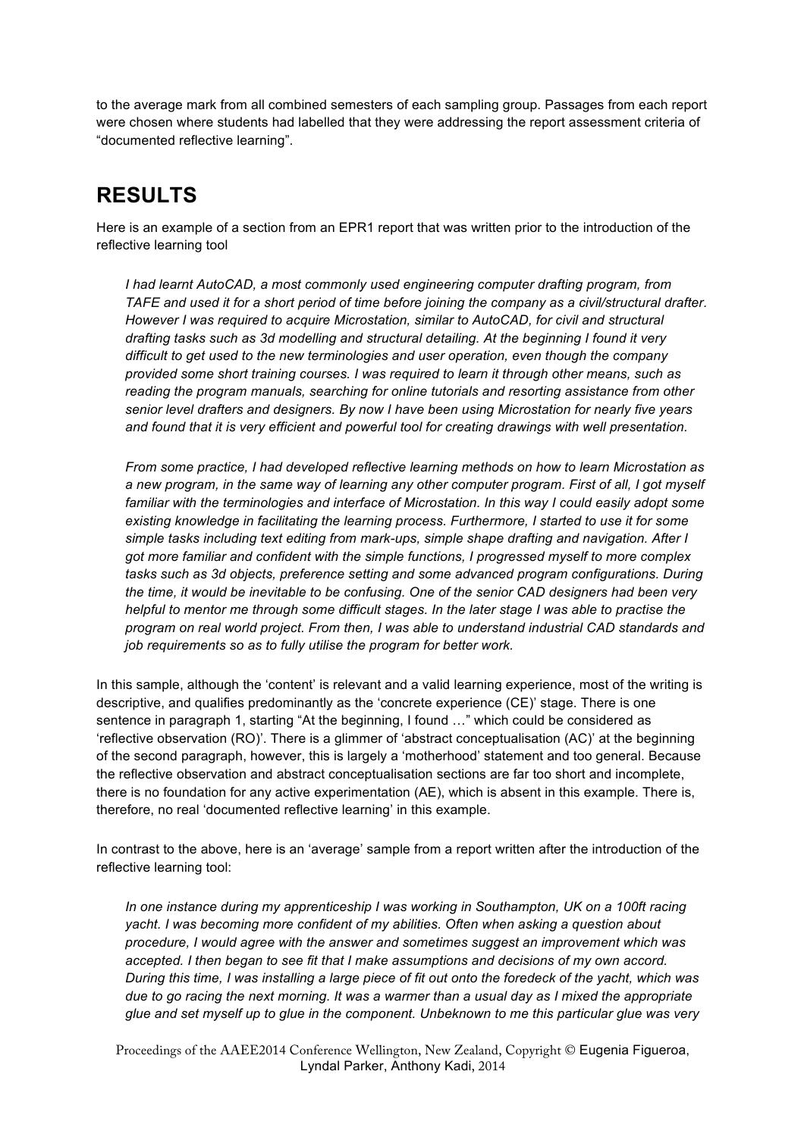to the average mark from all combined semesters of each sampling group. Passages from each report were chosen where students had labelled that they were addressing the report assessment criteria of "documented reflective learning".

## **RESULTS**

Here is an example of a section from an EPR1 report that was written prior to the introduction of the reflective learning tool

*I had learnt AutoCAD, a most commonly used engineering computer drafting program, from TAFE and used it for a short period of time before joining the company as a civil/structural drafter. However I was required to acquire Microstation, similar to AutoCAD, for civil and structural drafting tasks such as 3d modelling and structural detailing. At the beginning I found it very difficult to get used to the new terminologies and user operation, even though the company provided some short training courses. I was required to learn it through other means, such as reading the program manuals, searching for online tutorials and resorting assistance from other senior level drafters and designers. By now I have been using Microstation for nearly five years and found that it is very efficient and powerful tool for creating drawings with well presentation.* 

*From some practice, I had developed reflective learning methods on how to learn Microstation as a new program, in the same way of learning any other computer program. First of all, I got myself familiar with the terminologies and interface of Microstation. In this way I could easily adopt some*  existing knowledge in facilitating the learning process. Furthermore, I started to use it for some *simple tasks including text editing from mark-ups, simple shape drafting and navigation. After I got more familiar and confident with the simple functions, I progressed myself to more complex tasks such as 3d objects, preference setting and some advanced program configurations. During the time, it would be inevitable to be confusing. One of the senior CAD designers had been very helpful to mentor me through some difficult stages. In the later stage I was able to practise the program on real world project. From then, I was able to understand industrial CAD standards and job requirements so as to fully utilise the program for better work.*

In this sample, although the 'content' is relevant and a valid learning experience, most of the writing is descriptive, and qualifies predominantly as the 'concrete experience (CE)' stage. There is one sentence in paragraph 1, starting "At the beginning, I found …" which could be considered as 'reflective observation (RO)'. There is a glimmer of 'abstract conceptualisation (AC)' at the beginning of the second paragraph, however, this is largely a 'motherhood' statement and too general. Because the reflective observation and abstract conceptualisation sections are far too short and incomplete, there is no foundation for any active experimentation (AE), which is absent in this example. There is, therefore, no real 'documented reflective learning' in this example.

In contrast to the above, here is an 'average' sample from a report written after the introduction of the reflective learning tool:

In one instance during my apprenticeship I was working in Southampton, UK on a 100ft racing *yacht. I was becoming more confident of my abilities. Often when asking a question about procedure, I would agree with the answer and sometimes suggest an improvement which was accepted. I then began to see fit that I make assumptions and decisions of my own accord. During this time, I was installing a large piece of fit out onto the foredeck of the yacht, which was due to go racing the next morning. It was a warmer than a usual day as I mixed the appropriate glue and set myself up to glue in the component. Unbeknown to me this particular glue was very*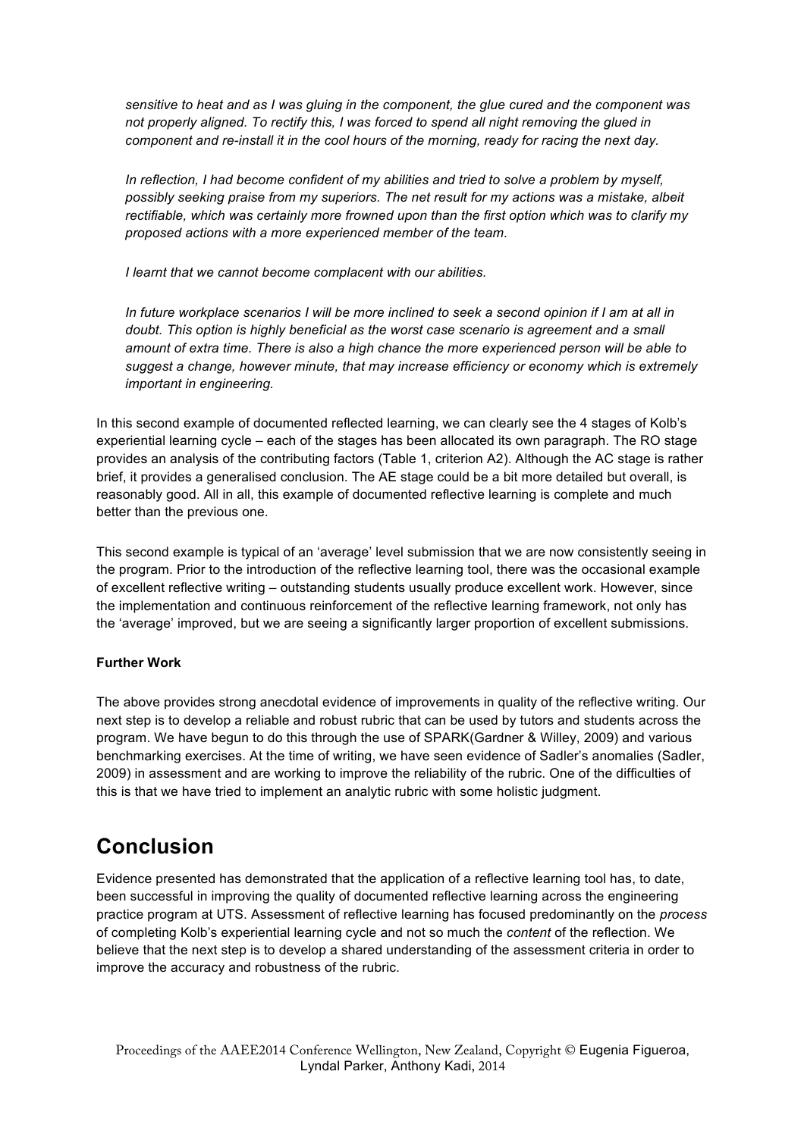*sensitive to heat and as I was gluing in the component, the glue cured and the component was not properly aligned. To rectify this, I was forced to spend all night removing the glued in component and re-install it in the cool hours of the morning, ready for racing the next day.*

In reflection, I had become confident of my abilities and tried to solve a problem by myself, *possibly seeking praise from my superiors. The net result for my actions was a mistake, albeit rectifiable, which was certainly more frowned upon than the first option which was to clarify my proposed actions with a more experienced member of the team.*

*I learnt that we cannot become complacent with our abilities.*

*In future workplace scenarios I will be more inclined to seek a second opinion if I am at all in doubt. This option is highly beneficial as the worst case scenario is agreement and a small amount of extra time. There is also a high chance the more experienced person will be able to suggest a change, however minute, that may increase efficiency or economy which is extremely important in engineering.*

In this second example of documented reflected learning, we can clearly see the 4 stages of Kolb's experiential learning cycle – each of the stages has been allocated its own paragraph. The RO stage provides an analysis of the contributing factors (Table 1, criterion A2). Although the AC stage is rather brief, it provides a generalised conclusion. The AE stage could be a bit more detailed but overall, is reasonably good. All in all, this example of documented reflective learning is complete and much better than the previous one.

This second example is typical of an 'average' level submission that we are now consistently seeing in the program. Prior to the introduction of the reflective learning tool, there was the occasional example of excellent reflective writing – outstanding students usually produce excellent work. However, since the implementation and continuous reinforcement of the reflective learning framework, not only has the 'average' improved, but we are seeing a significantly larger proportion of excellent submissions.

#### **Further Work**

The above provides strong anecdotal evidence of improvements in quality of the reflective writing. Our next step is to develop a reliable and robust rubric that can be used by tutors and students across the program. We have begun to do this through the use of SPARK(Gardner & Willey, 2009) and various benchmarking exercises. At the time of writing, we have seen evidence of Sadler's anomalies (Sadler, 2009) in assessment and are working to improve the reliability of the rubric. One of the difficulties of this is that we have tried to implement an analytic rubric with some holistic judgment.

### **Conclusion**

Evidence presented has demonstrated that the application of a reflective learning tool has, to date, been successful in improving the quality of documented reflective learning across the engineering practice program at UTS. Assessment of reflective learning has focused predominantly on the *process* of completing Kolb's experiential learning cycle and not so much the *content* of the reflection. We believe that the next step is to develop a shared understanding of the assessment criteria in order to improve the accuracy and robustness of the rubric.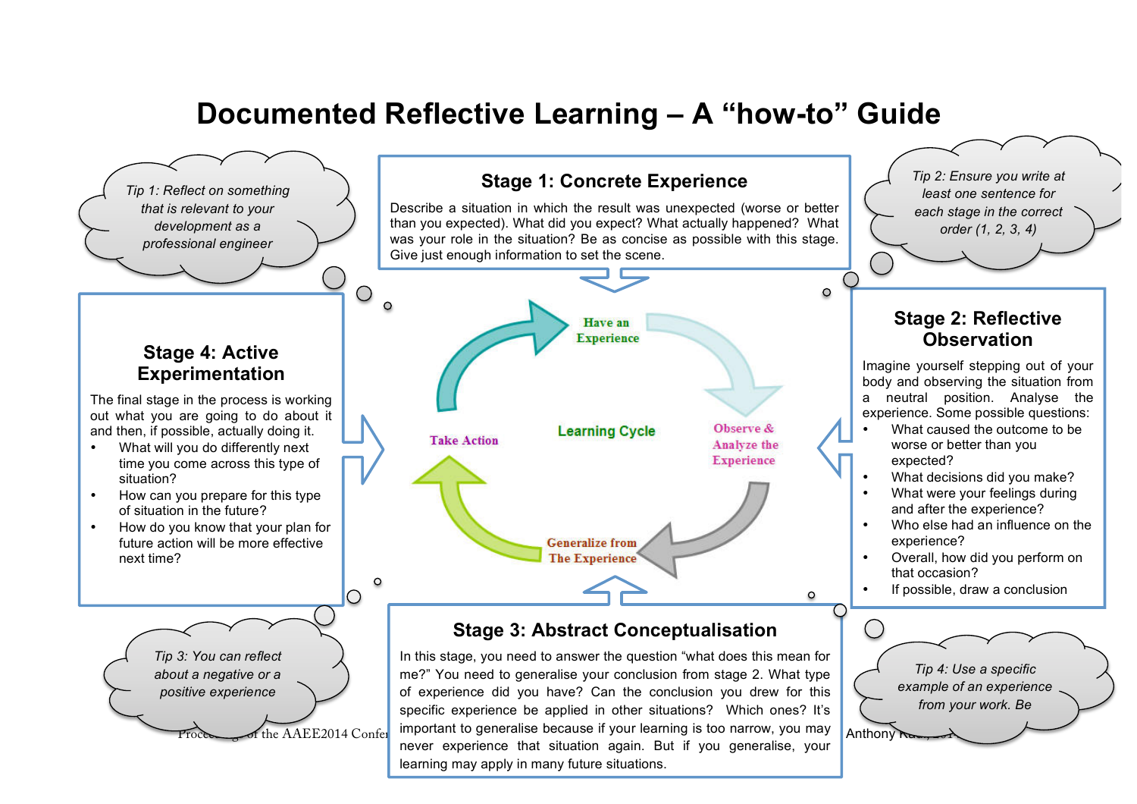# **Documented Reflective Learning – A "how-to" Guide**